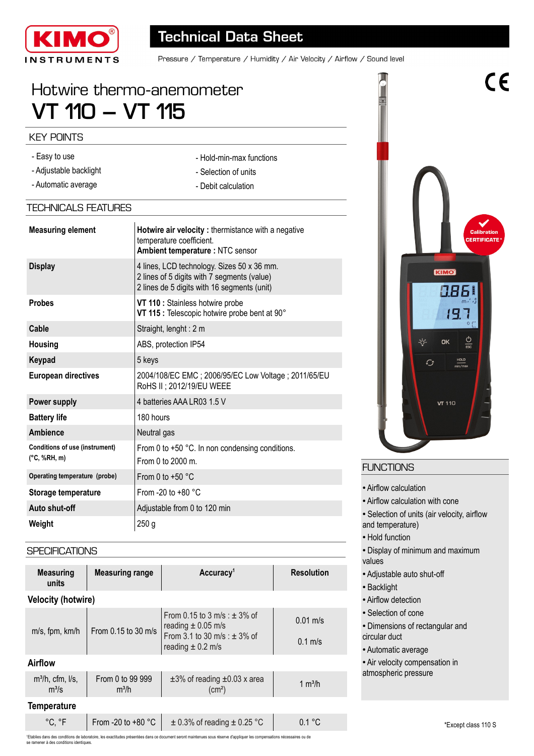

# **Technical Data Sheet**

- Hold-min-max functions - Selection of units - Debit calculation

Pressure / Temperature / Humidity / Air Velocity / Airflow / Sound level

# Hotwire thermo-anemometer **VT 110 – VT 115**

### KEY POINTS

- Easy to use
- Adjustable backlight
- Automatic average

# TECHNICALS FEATURES

| <b>Measuring element</b>                                        | Hotwire air velocity: thermistance with a negative<br>temperature coefficient.<br>Ambient temperature : NTC sensor                       |  |  |
|-----------------------------------------------------------------|------------------------------------------------------------------------------------------------------------------------------------------|--|--|
| <b>Display</b>                                                  | 4 lines, LCD technology. Sizes 50 x 36 mm.<br>2 lines of 5 digits with 7 segments (value)<br>2 lines de 5 digits with 16 segments (unit) |  |  |
| <b>Probes</b>                                                   | VT 110 : Stainless hotwire probe<br>VT 115 : Telescopic hotwire probe bent at 90°                                                        |  |  |
| Cable                                                           | Straight, lenght: 2 m                                                                                                                    |  |  |
| Housing                                                         | ABS, protection IP54                                                                                                                     |  |  |
| Keypad                                                          | 5 keys                                                                                                                                   |  |  |
| <b>European directives</b>                                      | 2004/108/EC EMC; 2006/95/EC Low Voltage; 2011/65/EU<br>RoHS II ; 2012/19/EU WEEE                                                         |  |  |
| Power supply                                                    | 4 batteries AAA LR03 1.5 V                                                                                                               |  |  |
| <b>Battery life</b>                                             | 180 hours                                                                                                                                |  |  |
| Ambience                                                        | Neutral gas                                                                                                                              |  |  |
| <b>Conditions of use (instrument)</b><br>$(^{\circ}C, \%RH, m)$ | From 0 to +50 °C. In non condensing conditions.<br>From 0 to $2000$ m.                                                                   |  |  |
| Operating temperature (probe)                                   | From 0 to $+50$ °C                                                                                                                       |  |  |
| Storage temperature                                             | From -20 to +80 $^{\circ}$ C                                                                                                             |  |  |
| Auto shut-off                                                   | Adjustable from 0 to 120 min                                                                                                             |  |  |
| Weight                                                          | 250 <sub>g</sub>                                                                                                                         |  |  |

#### **SPECIFICATIONS**

| <b>Measuring</b><br>units         | <b>Measuring range</b>      | Accuracy <sup>1</sup>                                                                                                   | <b>Resolution</b>               |  |
|-----------------------------------|-----------------------------|-------------------------------------------------------------------------------------------------------------------------|---------------------------------|--|
| <b>Velocity (hotwire)</b>         |                             |                                                                                                                         |                                 |  |
| m/s, fpm, km/h                    | From 0.15 to 30 m/s         | From 0.15 to 3 m/s : $\pm$ 3% of<br>reading $\pm$ 0.05 m/s<br>From 3.1 to 30 m/s : $\pm$ 3% of<br>reading $\pm$ 0.2 m/s | $0.01 \text{ m/s}$<br>$0.1$ m/s |  |
| <b>Airflow</b>                    |                             |                                                                                                                         |                                 |  |
| $m^3/h$ , cfm, $l/s$ ,<br>$m^3/s$ | From 0 to 99 999<br>$m^3/h$ | $\pm 3\%$ of reading $\pm 0.03$ x area<br>$\text{(cm}^2)$                                                               | $1 \text{ m}^3$ /h              |  |
| <b>Temperature</b>                |                             |                                                                                                                         |                                 |  |
| °C, °F                            | From -20 to $+80$ °C        | $\pm$ 0.3% of reading $\pm$ 0.25 °C                                                                                     | 0.1 °C                          |  |



 $\epsilon$ 

# **FUNCTIONS**

T

- Airflow calculation
- Airflow calculation with cone
- Selection of units (air velocity, airflow and temperature)
- Hold function
- Display of minimum and maximum values
- Adjustable auto shut-off
- Backlight
- Airflow detection
- Selection of cone
- Dimensions of rectangular and circular duct
- Automatic average
- Air velocity compensation in
- atmospheric pressure